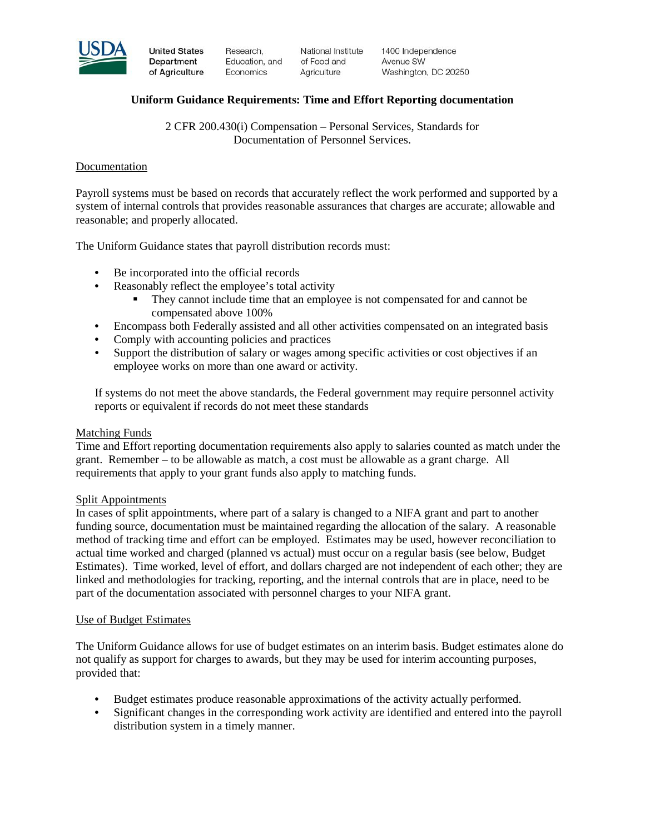

**United States** Department of Agriculture Research. Education, and Economics

National Institute of Food and Agriculture

1400 Independence Avenue SW Washington, DC 20250

## **Uniform Guidance Requirements: Time and Effort Reporting documentation**

2 CFR 200.430(i) Compensation – Personal Services, Standards for Documentation of Personnel Services.

## Documentation

Payroll systems must be based on records that accurately reflect the work performed and supported by a system of internal controls that provides reasonable assurances that charges are accurate; allowable and reasonable; and properly allocated.

The Uniform Guidance states that payroll distribution records must:

- Be incorporated into the official records
- Reasonably reflect the employee's total activity
	- They cannot include time that an employee is not compensated for and cannot be compensated above 100%
- Encompass both Federally assisted and all other activities compensated on an integrated basis
- Comply with accounting policies and practices
- Support the distribution of salary or wages among specific activities or cost objectives if an employee works on more than one award or activity.

If systems do not meet the above standards, the Federal government may require personnel activity reports or equivalent if records do not meet these standards

## Matching Funds

Time and Effort reporting documentation requirements also apply to salaries counted as match under the grant. Remember – to be allowable as match, a cost must be allowable as a grant charge. All requirements that apply to your grant funds also apply to matching funds.

## Split Appointments

In cases of split appointments, where part of a salary is changed to a NIFA grant and part to another funding source, documentation must be maintained regarding the allocation of the salary. A reasonable method of tracking time and effort can be employed. Estimates may be used, however reconciliation to actual time worked and charged (planned vs actual) must occur on a regular basis (see below, Budget Estimates). Time worked, level of effort, and dollars charged are not independent of each other; they are linked and methodologies for tracking, reporting, and the internal controls that are in place, need to be part of the documentation associated with personnel charges to your NIFA grant.

#### Use of Budget Estimates

The Uniform Guidance allows for use of budget estimates on an interim basis. Budget estimates alone do not qualify as support for charges to awards, but they may be used for interim accounting purposes, provided that:

- Budget estimates produce reasonable approximations of the activity actually performed.
- Significant changes in the corresponding work activity are identified and entered into the payroll distribution system in a timely manner.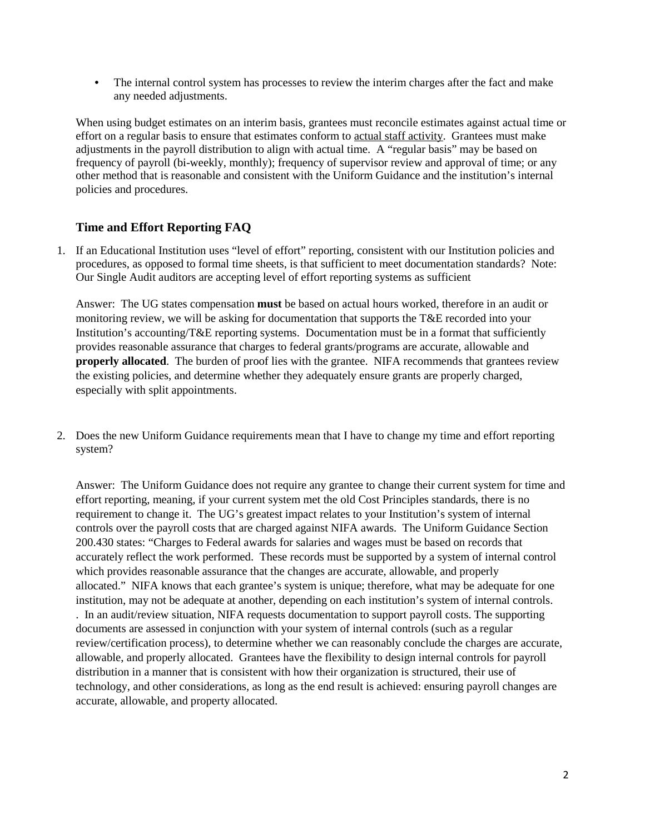• The internal control system has processes to review the interim charges after the fact and make any needed adjustments.

When using budget estimates on an interim basis, grantees must reconcile estimates against actual time or effort on a regular basis to ensure that estimates conform to actual staff activity. Grantees must make adjustments in the payroll distribution to align with actual time. A "regular basis" may be based on frequency of payroll (bi-weekly, monthly); frequency of supervisor review and approval of time; or any other method that is reasonable and consistent with the Uniform Guidance and the institution's internal policies and procedures.

# **Time and Effort Reporting FAQ**

1. If an Educational Institution uses "level of effort" reporting, consistent with our Institution policies and procedures, as opposed to formal time sheets, is that sufficient to meet documentation standards? Note: Our Single Audit auditors are accepting level of effort reporting systems as sufficient

Answer: The UG states compensation **must** be based on actual hours worked, therefore in an audit or monitoring review, we will be asking for documentation that supports the T&E recorded into your Institution's accounting/T&E reporting systems. Documentation must be in a format that sufficiently provides reasonable assurance that charges to federal grants/programs are accurate, allowable and **properly allocated**. The burden of proof lies with the grantee. NIFA recommends that grantees review the existing policies, and determine whether they adequately ensure grants are properly charged, especially with split appointments.

2. Does the new Uniform Guidance requirements mean that I have to change my time and effort reporting system?

Answer: The Uniform Guidance does not require any grantee to change their current system for time and effort reporting, meaning, if your current system met the old Cost Principles standards, there is no requirement to change it. The UG's greatest impact relates to your Institution's system of internal controls over the payroll costs that are charged against NIFA awards. The Uniform Guidance Section 200.430 states: "Charges to Federal awards for salaries and wages must be based on records that accurately reflect the work performed. These records must be supported by a system of internal control which provides reasonable assurance that the changes are accurate, allowable, and properly allocated." NIFA knows that each grantee's system is unique; therefore, what may be adequate for one institution, may not be adequate at another, depending on each institution's system of internal controls. . In an audit/review situation, NIFA requests documentation to support payroll costs. The supporting documents are assessed in conjunction with your system of internal controls (such as a regular review/certification process), to determine whether we can reasonably conclude the charges are accurate, allowable, and properly allocated. Grantees have the flexibility to design internal controls for payroll distribution in a manner that is consistent with how their organization is structured, their use of technology, and other considerations, as long as the end result is achieved: ensuring payroll changes are accurate, allowable, and property allocated.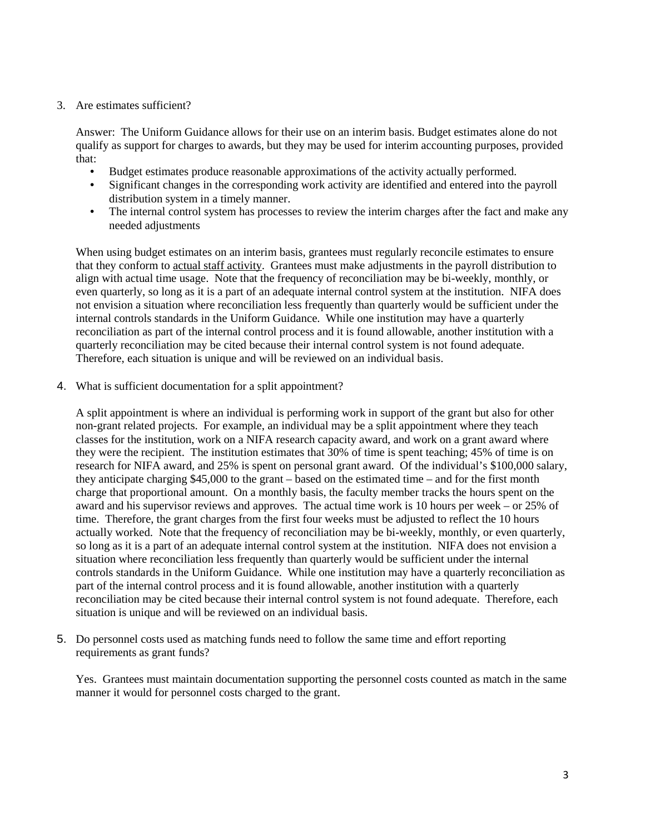## 3. Are estimates sufficient?

Answer: The Uniform Guidance allows for their use on an interim basis. Budget estimates alone do not qualify as support for charges to awards, but they may be used for interim accounting purposes, provided that:

- Budget estimates produce reasonable approximations of the activity actually performed.<br>• Significant changes in the corresponding work activity are identified and entered into the
- Significant changes in the corresponding work activity are identified and entered into the payroll distribution system in a timely manner.
- The internal control system has processes to review the interim charges after the fact and make any needed adjustments

When using budget estimates on an interim basis, grantees must regularly reconcile estimates to ensure that they conform to actual staff activity. Grantees must make adjustments in the payroll distribution to align with actual time usage. Note that the frequency of reconciliation may be bi-weekly, monthly, or even quarterly, so long as it is a part of an adequate internal control system at the institution. NIFA does not envision a situation where reconciliation less frequently than quarterly would be sufficient under the internal controls standards in the Uniform Guidance. While one institution may have a quarterly reconciliation as part of the internal control process and it is found allowable, another institution with a quarterly reconciliation may be cited because their internal control system is not found adequate. Therefore, each situation is unique and will be reviewed on an individual basis.

4. What is sufficient documentation for a split appointment?

A split appointment is where an individual is performing work in support of the grant but also for other non-grant related projects. For example, an individual may be a split appointment where they teach classes for the institution, work on a NIFA research capacity award, and work on a grant award where they were the recipient. The institution estimates that 30% of time is spent teaching; 45% of time is on research for NIFA award, and 25% is spent on personal grant award. Of the individual's \$100,000 salary, they anticipate charging \$45,000 to the grant – based on the estimated time – and for the first month charge that proportional amount. On a monthly basis, the faculty member tracks the hours spent on the award and his supervisor reviews and approves. The actual time work is 10 hours per week – or 25% of time. Therefore, the grant charges from the first four weeks must be adjusted to reflect the 10 hours actually worked. Note that the frequency of reconciliation may be bi-weekly, monthly, or even quarterly, so long as it is a part of an adequate internal control system at the institution. NIFA does not envision a situation where reconciliation less frequently than quarterly would be sufficient under the internal controls standards in the Uniform Guidance. While one institution may have a quarterly reconciliation as part of the internal control process and it is found allowable, another institution with a quarterly reconciliation may be cited because their internal control system is not found adequate. Therefore, each situation is unique and will be reviewed on an individual basis.

5. Do personnel costs used as matching funds need to follow the same time and effort reporting requirements as grant funds?

Yes. Grantees must maintain documentation supporting the personnel costs counted as match in the same manner it would for personnel costs charged to the grant.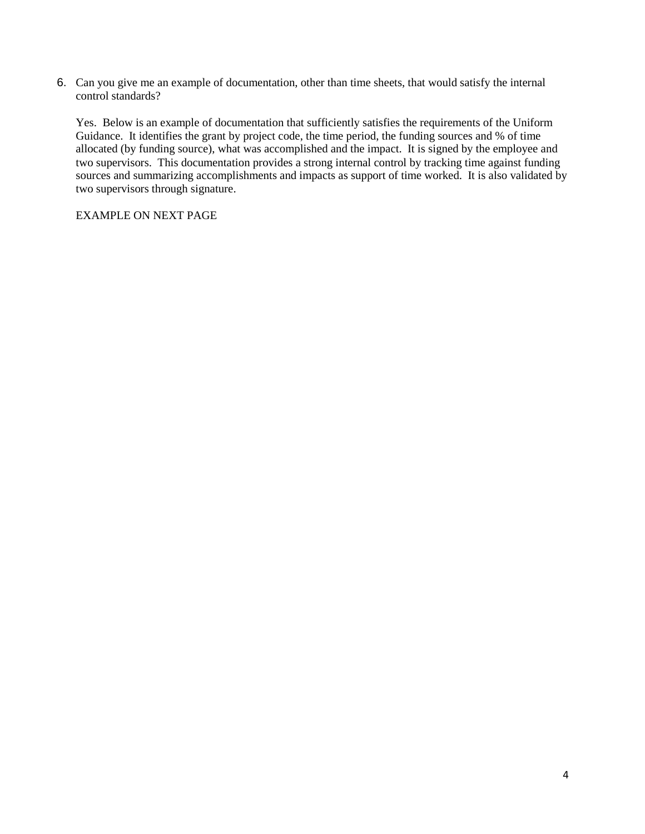6. Can you give me an example of documentation, other than time sheets, that would satisfy the internal control standards?

Yes. Below is an example of documentation that sufficiently satisfies the requirements of the Uniform Guidance. It identifies the grant by project code, the time period, the funding sources and % of time allocated (by funding source), what was accomplished and the impact. It is signed by the employee and two supervisors. This documentation provides a strong internal control by tracking time against funding sources and summarizing accomplishments and impacts as support of time worked. It is also validated by two supervisors through signature.

EXAMPLE ON NEXT PAGE